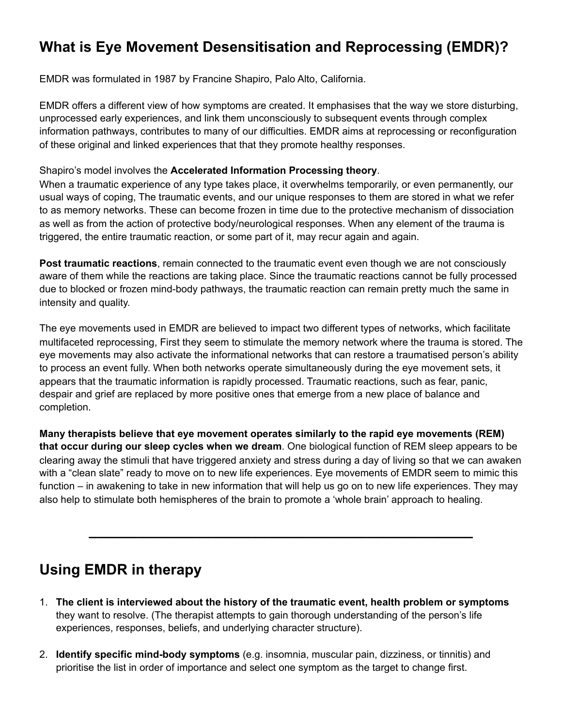## **What is Eye Movement Desensitisation and Reprocessing (EMDR)?**

EMDR was formulated in 1987 by Francine Shapiro, Palo Alto, California.

EMDR offers a different view of how symptoms are created. It emphasises that the way we store disturbing, unprocessed early experiences, and link them unconsciously to subsequent events through complex information pathways, contributes to many of our difficulties. EMDR aims at reprocessing or reconfiguration of these original and linked experiences that that they promote healthy responses.

## Shapiro's model involves the **Accelerated Information Processing theory**.

When a traumatic experience of any type takes place, it overwhelms temporarily, or even permanently, our usual ways of coping, The traumatic events, and our unique responses to them are stored in what we refer to as memory networks. These can become frozen in time due to the protective mechanism of dissociation as well as from the action of protective body/neurological responses. When any element of the trauma is triggered, the entire traumatic reaction, or some part of it, may recur again and again.

**Post traumatic reactions**, remain connected to the traumatic event even though we are not consciously aware of them while the reactions are taking place. Since the traumatic reactions cannot be fully processed due to blocked or frozen mind-body pathways, the traumatic reaction can remain pretty much the same in intensity and quality.

The eye movements used in EMDR are believed to impact two different types of networks, which facilitate multifaceted reprocessing, First they seem to stimulate the memory network where the trauma is stored. The eye movements may also activate the informational networks that can restore a traumatised person's ability to process an event fully. When both networks operate simultaneously during the eye movement sets, it appears that the traumatic information is rapidly processed. Traumatic reactions, such as fear, panic, despair and grief are replaced by more positive ones that emerge from a new place of balance and completion.

**Many therapists believe that eye movement operates similarly to the rapid eye movements (REM) that occur during our sleep cycles when we dream**. One biological function of REM sleep appears to be clearing away the stimuli that have triggered anxiety and stress during a day of living so that we can awaken with a "clean slate" ready to move on to new life experiences. Eye movements of EMDR seem to mimic this function – in awakening to take in new information that will help us go on to new life experiences. They may also help to stimulate both hemispheres of the brain to promote a 'whole brain' approach to healing.

**\_\_\_\_\_\_\_\_\_\_\_\_\_\_\_\_\_\_\_\_\_\_\_\_\_\_\_\_\_\_\_\_\_\_\_\_\_\_\_\_\_\_\_\_\_\_\_** 

## **Using EMDR in therapy**

- 1. **The client is interviewed about the history of the traumatic event, health problem or symptoms** they want to resolve. (The therapist attempts to gain thorough understanding of the person's life experiences, responses, beliefs, and underlying character structure).
- 2. **Identify specific mind-body symptoms** (e.g. insomnia, muscular pain, dizziness, or tinnitis) and prioritise the list in order of importance and select one symptom as the target to change first.